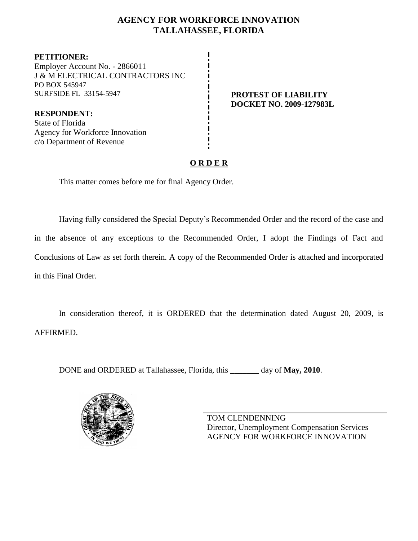## **AGENCY FOR WORKFORCE INNOVATION TALLAHASSEE, FLORIDA**

**PETITIONER:** Employer Account No. - 2866011 J & M ELECTRICAL CONTRACTORS INC PO BOX 545947 SURFSIDE FL 33154-5947 **PROTEST OF LIABILITY**

**DOCKET NO. 2009-127983L**

**RESPONDENT:** State of Florida Agency for Workforce Innovation c/o Department of Revenue

## **O R D E R**

This matter comes before me for final Agency Order.

Having fully considered the Special Deputy's Recommended Order and the record of the case and in the absence of any exceptions to the Recommended Order, I adopt the Findings of Fact and Conclusions of Law as set forth therein. A copy of the Recommended Order is attached and incorporated in this Final Order.

In consideration thereof, it is ORDERED that the determination dated August 20, 2009, is AFFIRMED.

DONE and ORDERED at Tallahassee, Florida, this **\_\_\_\_\_\_\_** day of **May, 2010**.



TOM CLENDENNING Director, Unemployment Compensation Services AGENCY FOR WORKFORCE INNOVATION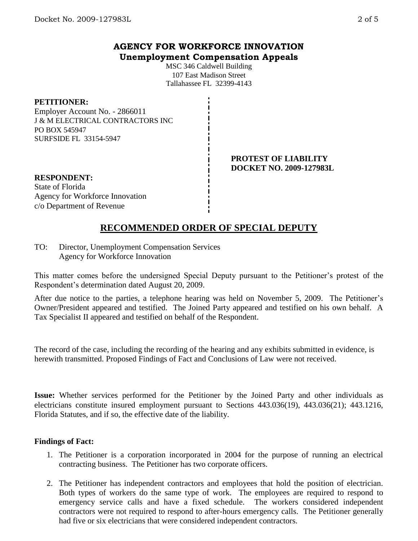## **AGENCY FOR WORKFORCE INNOVATION Unemployment Compensation Appeals**

MSC 346 Caldwell Building 107 East Madison Street Tallahassee FL 32399-4143

#### **PETITIONER:**

Employer Account No. - 2866011 J & M ELECTRICAL CONTRACTORS INC PO BOX 545947 SURFSIDE FL 33154-5947

> **PROTEST OF LIABILITY DOCKET NO. 2009-127983L**

**RESPONDENT:** State of Florida Agency for Workforce Innovation c/o Department of Revenue

# **RECOMMENDED ORDER OF SPECIAL DEPUTY**

TO: Director, Unemployment Compensation Services Agency for Workforce Innovation

This matter comes before the undersigned Special Deputy pursuant to the Petitioner's protest of the Respondent's determination dated August 20, 2009.

After due notice to the parties, a telephone hearing was held on November 5, 2009. The Petitioner's Owner/President appeared and testified. The Joined Party appeared and testified on his own behalf. A Tax Specialist II appeared and testified on behalf of the Respondent.

The record of the case, including the recording of the hearing and any exhibits submitted in evidence, is herewith transmitted. Proposed Findings of Fact and Conclusions of Law were not received.

**Issue:** Whether services performed for the Petitioner by the Joined Party and other individuals as electricians constitute insured employment pursuant to Sections 443.036(19), 443.036(21); 443.1216, Florida Statutes, and if so, the effective date of the liability.

#### **Findings of Fact:**

- 1. The Petitioner is a corporation incorporated in 2004 for the purpose of running an electrical contracting business. The Petitioner has two corporate officers.
- 2. The Petitioner has independent contractors and employees that hold the position of electrician. Both types of workers do the same type of work. The employees are required to respond to emergency service calls and have a fixed schedule. The workers considered independent contractors were not required to respond to after-hours emergency calls. The Petitioner generally had five or six electricians that were considered independent contractors.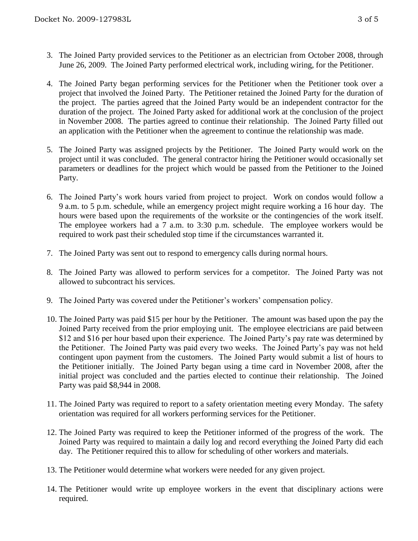- 3. The Joined Party provided services to the Petitioner as an electrician from October 2008, through June 26, 2009. The Joined Party performed electrical work, including wiring, for the Petitioner.
- 4. The Joined Party began performing services for the Petitioner when the Petitioner took over a project that involved the Joined Party. The Petitioner retained the Joined Party for the duration of the project. The parties agreed that the Joined Party would be an independent contractor for the duration of the project. The Joined Party asked for additional work at the conclusion of the project in November 2008. The parties agreed to continue their relationship. The Joined Party filled out an application with the Petitioner when the agreement to continue the relationship was made.
- 5. The Joined Party was assigned projects by the Petitioner. The Joined Party would work on the project until it was concluded. The general contractor hiring the Petitioner would occasionally set parameters or deadlines for the project which would be passed from the Petitioner to the Joined Party.
- 6. The Joined Party's work hours varied from project to project. Work on condos would follow a 9 a.m. to 5 p.m. schedule, while an emergency project might require working a 16 hour day. The hours were based upon the requirements of the worksite or the contingencies of the work itself. The employee workers had a 7 a.m. to 3:30 p.m. schedule. The employee workers would be required to work past their scheduled stop time if the circumstances warranted it.
- 7. The Joined Party was sent out to respond to emergency calls during normal hours.
- 8. The Joined Party was allowed to perform services for a competitor. The Joined Party was not allowed to subcontract his services.
- 9. The Joined Party was covered under the Petitioner's workers' compensation policy.
- 10. The Joined Party was paid \$15 per hour by the Petitioner. The amount was based upon the pay the Joined Party received from the prior employing unit. The employee electricians are paid between \$12 and \$16 per hour based upon their experience. The Joined Party's pay rate was determined by the Petitioner. The Joined Party was paid every two weeks. The Joined Party's pay was not held contingent upon payment from the customers. The Joined Party would submit a list of hours to the Petitioner initially. The Joined Party began using a time card in November 2008, after the initial project was concluded and the parties elected to continue their relationship. The Joined Party was paid \$8,944 in 2008.
- 11. The Joined Party was required to report to a safety orientation meeting every Monday. The safety orientation was required for all workers performing services for the Petitioner.
- 12. The Joined Party was required to keep the Petitioner informed of the progress of the work. The Joined Party was required to maintain a daily log and record everything the Joined Party did each day. The Petitioner required this to allow for scheduling of other workers and materials.
- 13. The Petitioner would determine what workers were needed for any given project.
- 14. The Petitioner would write up employee workers in the event that disciplinary actions were required.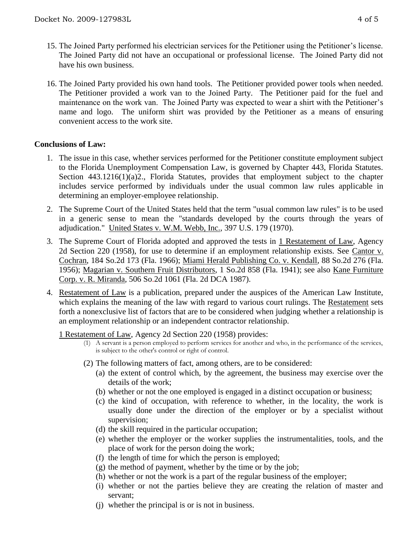- 15. The Joined Party performed his electrician services for the Petitioner using the Petitioner's license. The Joined Party did not have an occupational or professional license. The Joined Party did not have his own business.
- 16. The Joined Party provided his own hand tools. The Petitioner provided power tools when needed. The Petitioner provided a work van to the Joined Party. The Petitioner paid for the fuel and maintenance on the work van. The Joined Party was expected to wear a shirt with the Petitioner's name and logo. The uniform shirt was provided by the Petitioner as a means of ensuring convenient access to the work site.

#### **Conclusions of Law:**

- 1. The issue in this case, whether services performed for the Petitioner constitute employment subject to the Florida Unemployment Compensation Law, is governed by Chapter 443, Florida Statutes. Section 443.1216(1)(a)2., Florida Statutes, provides that employment subject to the chapter includes service performed by individuals under the usual common law rules applicable in determining an employer-employee relationship.
- 2. The Supreme Court of the United States held that the term "usual common law rules" is to be used in a generic sense to mean the "standards developed by the courts through the years of adjudication." United States v. W.M. Webb, Inc., 397 U.S. 179 (1970).
- 3. The Supreme Court of Florida adopted and approved the tests in 1 Restatement of Law, Agency 2d Section 220 (1958), for use to determine if an employment relationship exists. See Cantor v. Cochran, 184 So.2d 173 (Fla. 1966); Miami Herald Publishing Co. v. Kendall, 88 So.2d 276 (Fla. 1956); Magarian v. Southern Fruit Distributors, 1 So.2d 858 (Fla. 1941); see also Kane Furniture Corp. v. R. Miranda, 506 So.2d 1061 (Fla. 2d DCA 1987).
- 4. Restatement of Law is a publication, prepared under the auspices of the American Law Institute, which explains the meaning of the law with regard to various court rulings. The Restatement sets forth a nonexclusive list of factors that are to be considered when judging whether a relationship is an employment relationship or an independent contractor relationship.

1 Restatement of Law, Agency 2d Section 220 (1958) provides:

- (1) A servant is a person employed to perform services for another and who, in the performance of the services, is subject to the other's control or right of control.
- (2) The following matters of fact, among others, are to be considered:
	- (a) the extent of control which, by the agreement, the business may exercise over the details of the work;
	- (b) whether or not the one employed is engaged in a distinct occupation or business;
	- (c) the kind of occupation, with reference to whether, in the locality, the work is usually done under the direction of the employer or by a specialist without supervision;
	- (d) the skill required in the particular occupation;
	- (e) whether the employer or the worker supplies the instrumentalities, tools, and the place of work for the person doing the work;
	- (f) the length of time for which the person is employed;
	- $(g)$  the method of payment, whether by the time or by the job;
	- (h) whether or not the work is a part of the regular business of the employer;
	- (i) whether or not the parties believe they are creating the relation of master and servant;
	- (j) whether the principal is or is not in business.